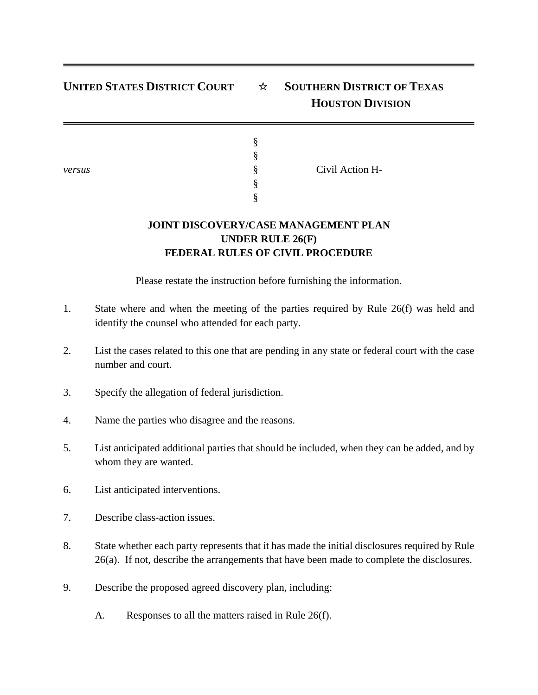## **UNITED STATES DISTRICT COURT** ☆ **SOUTHERN DISTRICT OF TEXAS HOUSTON DIVISION**

§ §

§ §

| И<br>ı<br>٧<br>۰. |
|-------------------|
|-------------------|

Civil Action H-

## **JOINT DISCOVERY/CASE MANAGEMENT PLAN UNDER RULE 26(F) FEDERAL RULES OF CIVIL PROCEDURE**

Please restate the instruction before furnishing the information.

- 1. State where and when the meeting of the parties required by Rule 26(f) was held and identify the counsel who attended for each party.
- 2. List the cases related to this one that are pending in any state or federal court with the case number and court.
- 3. Specify the allegation of federal jurisdiction.
- 4. Name the parties who disagree and the reasons.
- 5. List anticipated additional parties that should be included, when they can be added, and by whom they are wanted.
- 6. List anticipated interventions.
- 7. Describe class-action issues.
- 8. State whether each party represents that it has made the initial disclosures required by Rule 26(a). If not, describe the arrangements that have been made to complete the disclosures.
- 9. Describe the proposed agreed discovery plan, including:
	- A. Responses to all the matters raised in Rule 26(f).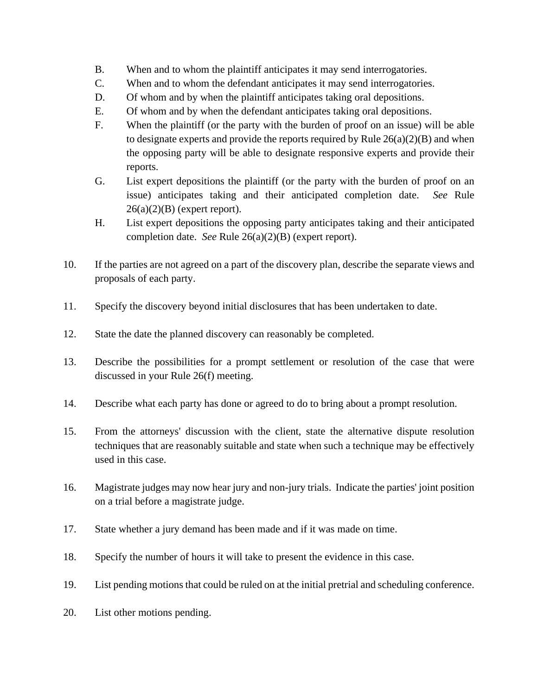- B. When and to whom the plaintiff anticipates it may send interrogatories.
- C. When and to whom the defendant anticipates it may send interrogatories.
- D. Of whom and by when the plaintiff anticipates taking oral depositions.
- E. Of whom and by when the defendant anticipates taking oral depositions.
- F. When the plaintiff (or the party with the burden of proof on an issue) will be able to designate experts and provide the reports required by Rule  $26(a)(2)(B)$  and when the opposing party will be able to designate responsive experts and provide their reports.
- G. List expert depositions the plaintiff (or the party with the burden of proof on an issue) anticipates taking and their anticipated completion date. *See* Rule  $26(a)(2)(B)$  (expert report).
- H. List expert depositions the opposing party anticipates taking and their anticipated completion date. *See* Rule 26(a)(2)(B) (expert report).
- 10. If the parties are not agreed on a part of the discovery plan, describe the separate views and proposals of each party.
- 11. Specify the discovery beyond initial disclosures that has been undertaken to date.
- 12. State the date the planned discovery can reasonably be completed.
- 13. Describe the possibilities for a prompt settlement or resolution of the case that were discussed in your Rule 26(f) meeting.
- 14. Describe what each party has done or agreed to do to bring about a prompt resolution.
- 15. From the attorneys' discussion with the client, state the alternative dispute resolution techniques that are reasonably suitable and state when such a technique may be effectively used in this case.
- 16. Magistrate judges may now hear jury and non-jury trials. Indicate the parties' joint position on a trial before a magistrate judge.
- 17. State whether a jury demand has been made and if it was made on time.
- 18. Specify the number of hours it will take to present the evidence in this case.
- 19. List pending motions that could be ruled on at the initial pretrial and scheduling conference.
- 20. List other motions pending.